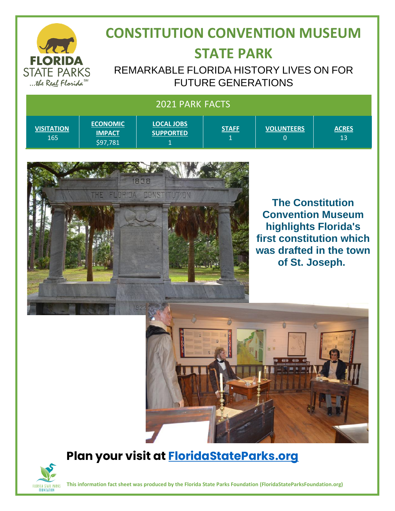

## **CONSTITUTION CONVENTION MUSEUM STATE PARK**

REMARKABLE FLORIDA HISTORY LIVES ON FOR FUTURE GENERATIONS

#### 2021 PARK FACTS

| <b>VISITATION</b><br>165 | <b>ECONOMIC</b><br><b>IMPACT</b><br>\$97,781 | <b>LOCAL JOBS</b><br><b>SUPPORTED</b> | <b>STAFF</b><br>. . | <b>VOLUNTEERS</b> | <b>ACRES</b><br>13 |
|--------------------------|----------------------------------------------|---------------------------------------|---------------------|-------------------|--------------------|
|--------------------------|----------------------------------------------|---------------------------------------|---------------------|-------------------|--------------------|



**The Constitution Convention Museum highlights Florida's first constitution which was drafted in the town of St. Joseph.**



### **Plan your visit at [FloridaStateParks.org](file:///C:/Users/Paula/OneDrive/Desktop/New%20FSPF/Impact%20Sheets/FY%202020%20-%202021%20Impact%20Data/FY%202020-21%20Impact%20Sheets/FloridaStateParks.org)**



**This information fact sheet was produced by the Florida State Parks Foundation (FloridaStateParksFoundation.org)**